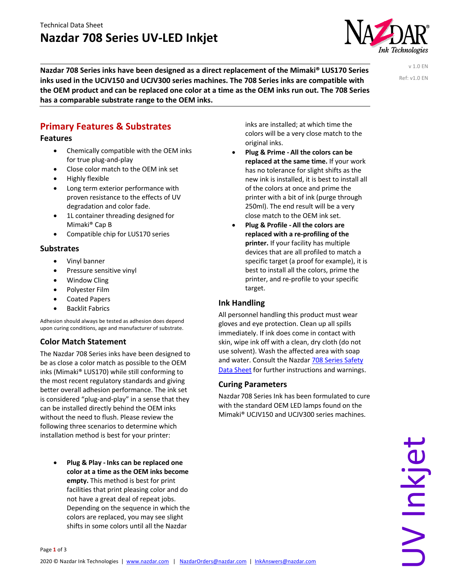# **Nazdar 708 Series UV-LED Inkjet**



**Nazdar 708 Series inks have been designed as a direct replacement of the Mimaki® LUS170 Series inks used in the UCJV150 and UCJV300 series machines. The 708 Series inks are compatible with the OEM product and can be replaced one color at a time as the OEM inks run out. The 708 Series has a comparable substrate range to the OEM inks.**

v 1.0 EN Ref: v1.0 EN

# **Primary Features & Substrates**

### **Features**

- Chemically compatible with the OEM inks for true plug-and-play
- Close color match to the OEM ink set
- Highly flexible
- Long term exterior performance with proven resistance to the effects of UV degradation and color fade.
- 1L container threading designed for Mimaki® Cap B
- Compatible chip for LUS170 series

# **Substrates**

- Vinyl banner
- Pressure sensitive vinyl
- Window Cling
- Polyester Film
- Coated Papers
- Backlit Fabrics

Adhesion should always be tested as adhesion does depend upon curing conditions, age and manufacturer of substrate.

# **Color Match Statement**

The Nazdar 708 Series inks have been designed to be as close a color match as possible to the OEM inks (Mimaki® LUS170) while still conforming to the most recent regulatory standards and giving better overall adhesion performance. The ink set is considered "plug-and-play" in a sense that they can be installed directly behind the OEM inks without the need to flush. Please review the following three scenarios to determine which installation method is best for your printer:

• **Plug & Play - Inks can be replaced one color at a time as the OEM inks become empty.** This method is best for print facilities that print pleasing color and do not have a great deal of repeat jobs. Depending on the sequence in which the colors are replaced, you may see slight shifts in some colors until all the Nazdar

inks are installed; at which time the colors will be a very close match to the original inks.

- **Plug & Prime - All the colors can be replaced at the same time.** If your work has no tolerance for slight shifts as the new ink is installed, it is best to install all of the colors at once and prime the printer with a bit of ink (purge through 250ml). The end result will be a very close match to the OEM ink set.
- **Plug & Profile - All the colors are replaced with a re-profiling of the printer.** If your facility has multiple devices that are all profiled to match a specific target (a proof for example), it is best to install all the colors, prime the printer, and re-profile to your specific target.

### **Ink Handling**

All personnel handling this product must wear gloves and eye protection. Clean up all spills immediately. If ink does come in contact with skin, wipe ink off with a clean, dry cloth (do not use solvent). Wash the affected area with soap and water. Consult the Nazdar 708 Series Safety Data Sheet for further instructions and warnings.

#### **Curing Parameters**

Nazdar 708 Series Ink has been formulated to cure with the standard OEM LED lamps found on the Mimaki® UCJV150 and UCJV300 series machines.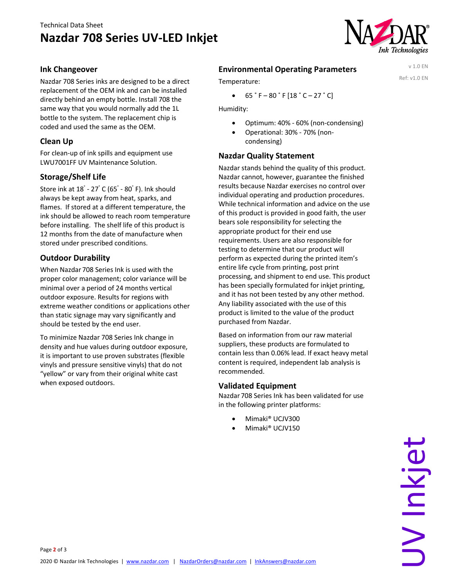# Technical Data Sheet **Nazdar 708 Series UV-LED Inkjet**



v 1.0 EN Ref: v1.0 EN

#### **Ink Changeover**

Nazdar 708 Series inks are designed to be a direct replacement of the OEM ink and can be installed directly behind an empty bottle. Install 708 the same way that you would normally add the 1L bottle to the system. The replacement chip is coded and used the same as the OEM.

#### **Clean Up**

For clean-up of ink spills and equipment use LWU7001FF UV Maintenance Solution.

#### **Storage/Shelf Life**

Store ink at 18° - 27° C (65° - 80° F). Ink should always be kept away from heat, sparks, and flames. If stored at a different temperature, the ink should be allowed to reach room temperature before installing. The shelf life of this product is 12 months from the date of manufacture when stored under prescribed conditions.

#### **Outdoor Durability**

When Nazdar 708 Series Ink is used with the proper color management; color variance will be minimal over a period of 24 months vertical outdoor exposure. Results for regions with extreme weather conditions or applications other than static signage may vary significantly and should be tested by the end user.

To minimize Nazdar 708 Series Ink change in density and hue values during outdoor exposure, it is important to use proven substrates (flexible vinyls and pressure sensitive vinyls) that do not "yellow" or vary from their original white cast when exposed outdoors.

## **Environmental Operating Parameters**

Temperature:

 $\bullet$  65 ° F – 80 ° F [18 ° C – 27 ° C]

Humidity:

- Optimum: 40% 60% (non-condensing)
- Operational: 30% 70% (noncondensing)

#### **Nazdar Quality Statement**

Nazdar stands behind the quality of this product. Nazdar cannot, however, guarantee the finished results because Nazdar exercises no control over individual operating and production procedures. While technical information and advice on the use of this product is provided in good faith, the user bears sole responsibility for selecting the appropriate product for their end use requirements. Users are also responsible for testing to determine that our product will perform as expected during the printed item's entire life cycle from printing, post print processing, and shipment to end use. This product has been specially formulated for inkjet printing, and it has not been tested by any other method. Any liability associated with the use of this product is limited to the value of the product purchased from Nazdar.

Based on information from our raw material suppliers, these products are formulated to contain less than 0.06% lead. If exact heavy metal content is required, independent lab analysis is recommended.

#### **Validated Equipment**

Nazdar 708 Series Ink has been validated for use in the following printer platforms:

- Mimaki® UCJV300
- Mimaki® UCJV150